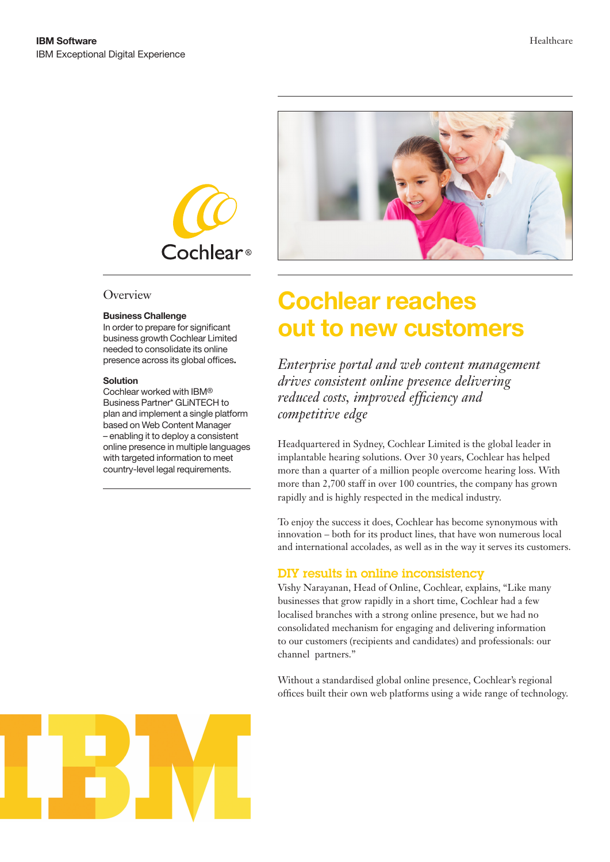

### **Overview**

#### **Business Challenge**

In order to prepare for significant business growth Cochlear Limited needed to consolidate its online presence across its global offices**.** 

#### **Solution**

Cochlear worked with IBM® Business Partner\* GLiNTECH to plan and implement a single platform based on Web Content Manager – enabling it to deploy a consistent online presence in multiple languages with targeted information to meet country-level legal requirements.



# **Cochlear reaches out to new customers**

*Enterprise portal and web content management drives consistent online presence delivering reduced costs, improved efficiency and competitive edge* 

Headquartered in Sydney, Cochlear Limited is the global leader in implantable hearing solutions. Over 30 years, Cochlear has helped more than a quarter of a million people overcome hearing loss. With more than 2,700 staff in over 100 countries, the company has grown rapidly and is highly respected in the medical industry.

To enjoy the success it does, Cochlear has become synonymous with innovation – both for its product lines, that have won numerous local and international accolades, as well as in the way it serves its customers.

#### DIY results in online inconsistency

Vishy Narayanan, Head of Online, Cochlear, explains, "Like many businesses that grow rapidly in a short time, Cochlear had a few localised branches with a strong online presence, but we had no consolidated mechanism for engaging and delivering information to our customers (recipients and candidates) and professionals: our channel partners."

Without a standardised global online presence, Cochlear's regional offices built their own web platforms using a wide range of technology.

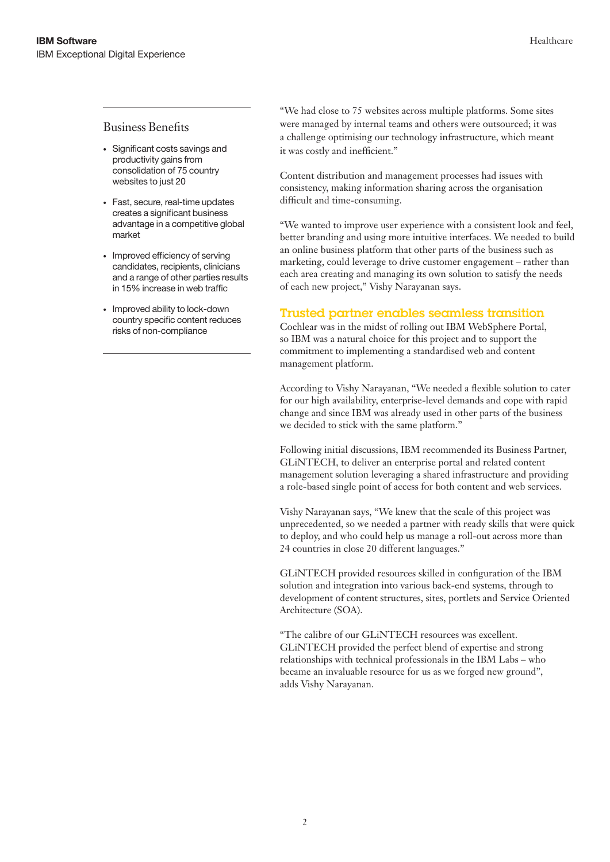## Business Benefits

- Significant costs savings and productivity gains from consolidation of 75 country websites to just 20
- Fast, secure, real-time updates creates a significant business advantage in a competitive global market
- Improved efficiency of serving candidates, recipients, clinicians and a range of other parties results in 15% increase in web traffic
- Improved ability to lock-down country specific content reduces risks of non-compliance

"We had close to 75 websites across multiple platforms. Some sites were managed by internal teams and others were outsourced; it was a challenge optimising our technology infrastructure, which meant it was costly and inefficient."

Content distribution and management processes had issues with consistency, making information sharing across the organisation difficult and time-consuming.

"We wanted to improve user experience with a consistent look and feel, better branding and using more intuitive interfaces. We needed to build an online business platform that other parts of the business such as marketing, could leverage to drive customer engagement – rather than each area creating and managing its own solution to satisfy the needs of each new project," Vishy Narayanan says.

## Trusted partner enables seamless transition

Cochlear was in the midst of rolling out IBM WebSphere Portal, so IBM was a natural choice for this project and to support the commitment to implementing a standardised web and content management platform.

According to Vishy Narayanan, "We needed a flexible solution to cater for our high availability, enterprise-level demands and cope with rapid change and since IBM was already used in other parts of the business we decided to stick with the same platform."

Following initial discussions, IBM recommended its Business Partner, GLiNTECH, to deliver an enterprise portal and related content management solution leveraging a shared infrastructure and providing a role-based single point of access for both content and web services.

Vishy Narayanan says, "We knew that the scale of this project was unprecedented, so we needed a partner with ready skills that were quick to deploy, and who could help us manage a roll-out across more than 24 countries in close 20 different languages."

GLiNTECH provided resources skilled in configuration of the IBM solution and integration into various back-end systems, through to development of content structures, sites, portlets and Service Oriented Architecture (SOA).

"The calibre of our GLiNTECH resources was excellent. GLiNTECH provided the perfect blend of expertise and strong relationships with technical professionals in the IBM Labs – who became an invaluable resource for us as we forged new ground", adds Vishy Narayanan.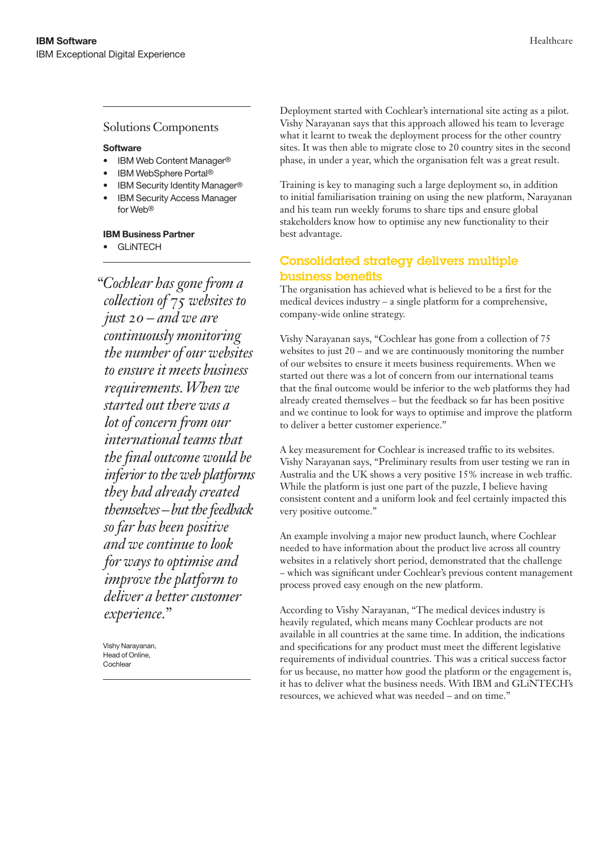## Solutions Components

#### **Software**

- IBM Web Content Manager®
- IBM WebSphere Portal®
- IBM Security Identity Manager®
- **IBM Security Access Manager** for Web®

#### **IBM Business Partner**

**GLINTECH** 

*"Cochlear has gone from a collection of 75 websites to just 20 – and we are continuously monitoring the number of our websites to ensure it meets business requirements. When we started out there was a lot of concern from our international teams that the final outcome would be inferior to the web platforms they had already created themselves – but the feedback so far has been positive and we continue to look for ways to optimise and improve the platform to deliver a better customer experience."*

Vishy Narayanan, Head of Online, **Cochlear** 

Deployment started with Cochlear's international site acting as a pilot. Vishy Narayanan says that this approach allowed his team to leverage what it learnt to tweak the deployment process for the other country sites. It was then able to migrate close to 20 country sites in the second phase, in under a year, which the organisation felt was a great result.

Training is key to managing such a large deployment so, in addition to initial familiarisation training on using the new platform, Narayanan and his team run weekly forums to share tips and ensure global stakeholders know how to optimise any new functionality to their best advantage.

# Consolidated strategy delivers multiple business benefits

The organisation has achieved what is believed to be a first for the medical devices industry – a single platform for a comprehensive, company-wide online strategy.

Vishy Narayanan says, "Cochlear has gone from a collection of 75 websites to just 20 – and we are continuously monitoring the number of our websites to ensure it meets business requirements. When we started out there was a lot of concern from our international teams that the final outcome would be inferior to the web platforms they had already created themselves – but the feedback so far has been positive and we continue to look for ways to optimise and improve the platform to deliver a better customer experience."

A key measurement for Cochlear is increased traffic to its websites. Vishy Narayanan says, "Preliminary results from user testing we ran in Australia and the UK shows a very positive 15% increase in web traffic. While the platform is just one part of the puzzle, I believe having consistent content and a uniform look and feel certainly impacted this very positive outcome."

An example involving a major new product launch, where Cochlear needed to have information about the product live across all country websites in a relatively short period, demonstrated that the challenge – which was significant under Cochlear's previous content management process proved easy enough on the new platform.

According to Vishy Narayanan, "The medical devices industry is heavily regulated, which means many Cochlear products are not available in all countries at the same time. In addition, the indications and specifications for any product must meet the different legislative requirements of individual countries. This was a critical success factor for us because, no matter how good the platform or the engagement is, it has to deliver what the business needs. With IBM and GLiNTECH's resources, we achieved what was needed – and on time."